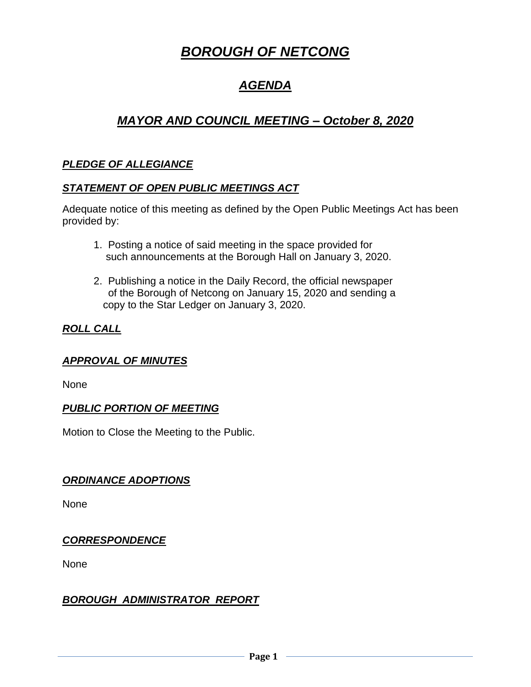# *BOROUGH OF NETCONG*

## *AGENDA*

## *MAYOR AND COUNCIL MEETING – October 8, 2020*

## *PLEDGE OF ALLEGIANCE*

#### *STATEMENT OF OPEN PUBLIC MEETINGS ACT*

Adequate notice of this meeting as defined by the Open Public Meetings Act has been provided by:

- 1. Posting a notice of said meeting in the space provided for such announcements at the Borough Hall on January 3, 2020.
- 2. Publishing a notice in the Daily Record, the official newspaper of the Borough of Netcong on January 15, 2020 and sending a copy to the Star Ledger on January 3, 2020.

## *ROLL CALL*

#### *APPROVAL OF MINUTES*

None

#### *PUBLIC PORTION OF MEETING*

Motion to Close the Meeting to the Public.

#### *ORDINANCE ADOPTIONS*

None

## *CORRESPONDENCE*

None

## *BOROUGH ADMINISTRATOR REPORT*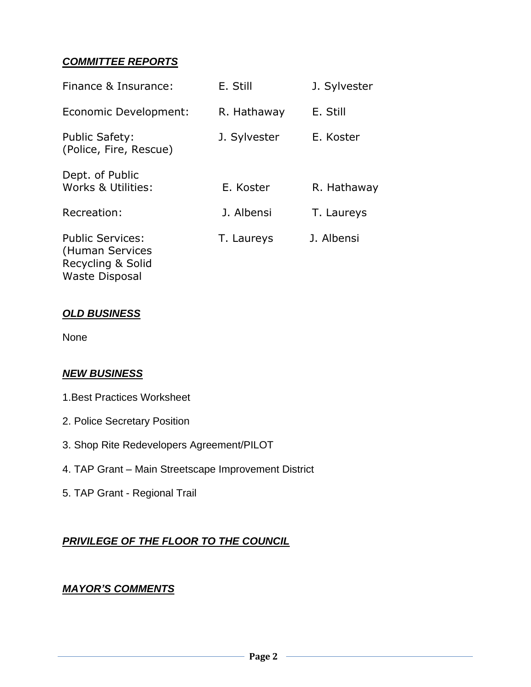## *COMMITTEE REPORTS*

| Finance & Insurance:                                            | E. Still     | J. Sylvester |
|-----------------------------------------------------------------|--------------|--------------|
| Economic Development:                                           | R. Hathaway  | E. Still     |
| <b>Public Safety:</b><br>(Police, Fire, Rescue)                 | J. Sylvester | E. Koster    |
| Dept. of Public<br>Works & Utilities:                           | E. Koster    | R. Hathaway  |
| Recreation:                                                     | J. Albensi   | T. Laureys   |
| <b>Public Services:</b><br>(Human Services<br>Recycling & Solid | T. Laureys   | J. Albensi   |

#### *OLD BUSINESS*

Waste Disposal

None

#### *NEW BUSINESS*

- 1.Best Practices Worksheet
- 2. Police Secretary Position
- 3. Shop Rite Redevelopers Agreement/PILOT
- 4. TAP Grant Main Streetscape Improvement District
- 5. TAP Grant Regional Trail

## *PRIVILEGE OF THE FLOOR TO THE COUNCIL*

#### *MAYOR'S COMMENTS*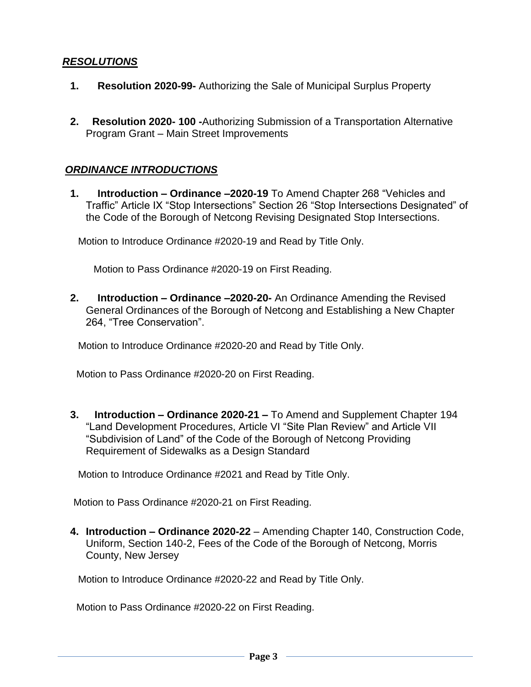#### *RESOLUTIONS*

- **1. Resolution 2020-99-** Authorizing the Sale of Municipal Surplus Property
- **2. Resolution 2020- 100 -**Authorizing Submission of a Transportation Alternative Program Grant – Main Street Improvements

#### *ORDINANCE INTRODUCTIONS*

**1. Introduction – Ordinance –2020-19** To Amend Chapter 268 "Vehicles and Traffic" Article IX "Stop Intersections" Section 26 "Stop Intersections Designated" of the Code of the Borough of Netcong Revising Designated Stop Intersections.

Motion to Introduce Ordinance #2020-19 and Read by Title Only.

Motion to Pass Ordinance #2020-19 on First Reading.

**2. Introduction – Ordinance –2020-20-** An Ordinance Amending the Revised General Ordinances of the Borough of Netcong and Establishing a New Chapter 264, "Tree Conservation".

Motion to Introduce Ordinance #2020-20 and Read by Title Only.

Motion to Pass Ordinance #2020-20 on First Reading.

**3. Introduction – Ordinance 2020-21 –** To Amend and Supplement Chapter 194 "Land Development Procedures, Article VI "Site Plan Review" and Article VII "Subdivision of Land" of the Code of the Borough of Netcong Providing Requirement of Sidewalks as a Design Standard

Motion to Introduce Ordinance #2021 and Read by Title Only.

Motion to Pass Ordinance #2020-21 on First Reading.

**4. Introduction – Ordinance 2020-22** – Amending Chapter 140, Construction Code, Uniform, Section 140-2, Fees of the Code of the Borough of Netcong, Morris County, New Jersey

Motion to Introduce Ordinance #2020-22 and Read by Title Only.

Motion to Pass Ordinance #2020-22 on First Reading.